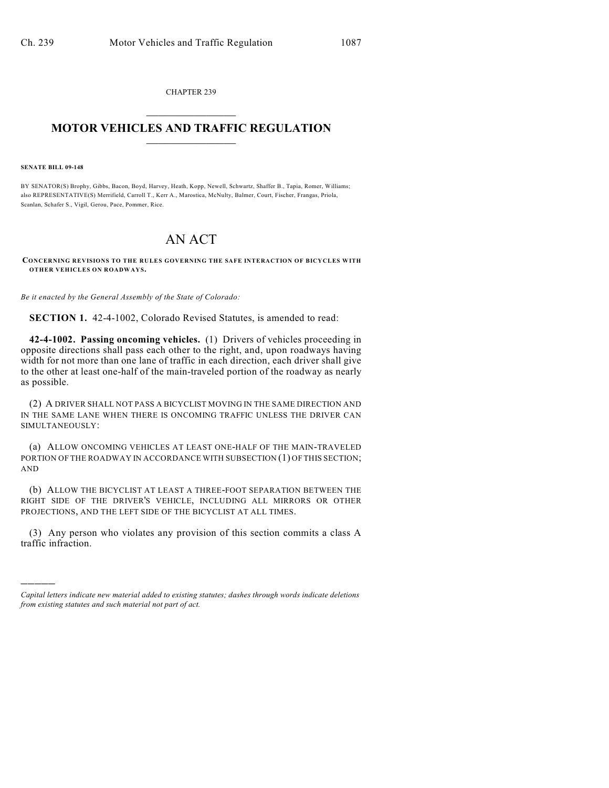CHAPTER 239  $\mathcal{L}_\text{max}$  . The set of the set of the set of the set of the set of the set of the set of the set of the set of the set of the set of the set of the set of the set of the set of the set of the set of the set of the set

## **MOTOR VEHICLES AND TRAFFIC REGULATION**  $\frac{1}{2}$  ,  $\frac{1}{2}$  ,  $\frac{1}{2}$  ,  $\frac{1}{2}$  ,  $\frac{1}{2}$  ,  $\frac{1}{2}$  ,  $\frac{1}{2}$

## **SENATE BILL 09-148**

)))))

BY SENATOR(S) Brophy, Gibbs, Bacon, Boyd, Harvey, Heath, Kopp, Newell, Schwartz, Shaffer B., Tapia, Romer, Williams; also REPRESENTATIVE(S) Merrifield, Carroll T., Kerr A., Marostica, McNulty, Balmer, Court, Fischer, Frangas, Priola, Scanlan, Schafer S., Vigil, Gerou, Pace, Pommer, Rice.

## AN ACT

**CONCERNING REVISIONS TO THE RULES GOVERNING THE SAFE INTERACTION OF BICYCLES WITH OTHER VEHICLES ON ROADWAYS.**

*Be it enacted by the General Assembly of the State of Colorado:*

**SECTION 1.** 42-4-1002, Colorado Revised Statutes, is amended to read:

**42-4-1002. Passing oncoming vehicles.** (1) Drivers of vehicles proceeding in opposite directions shall pass each other to the right, and, upon roadways having width for not more than one lane of traffic in each direction, each driver shall give to the other at least one-half of the main-traveled portion of the roadway as nearly as possible.

(2) A DRIVER SHALL NOT PASS A BICYCLIST MOVING IN THE SAME DIRECTION AND IN THE SAME LANE WHEN THERE IS ONCOMING TRAFFIC UNLESS THE DRIVER CAN SIMULTANEOUSLY:

(a) ALLOW ONCOMING VEHICLES AT LEAST ONE-HALF OF THE MAIN-TRAVELED PORTION OF THE ROADWAY IN ACCORDANCE WITH SUBSECTION (1) OF THIS SECTION; AND

(b) ALLOW THE BICYCLIST AT LEAST A THREE-FOOT SEPARATION BETWEEN THE RIGHT SIDE OF THE DRIVER'S VEHICLE, INCLUDING ALL MIRRORS OR OTHER PROJECTIONS, AND THE LEFT SIDE OF THE BICYCLIST AT ALL TIMES.

(3) Any person who violates any provision of this section commits a class A traffic infraction.

*Capital letters indicate new material added to existing statutes; dashes through words indicate deletions from existing statutes and such material not part of act.*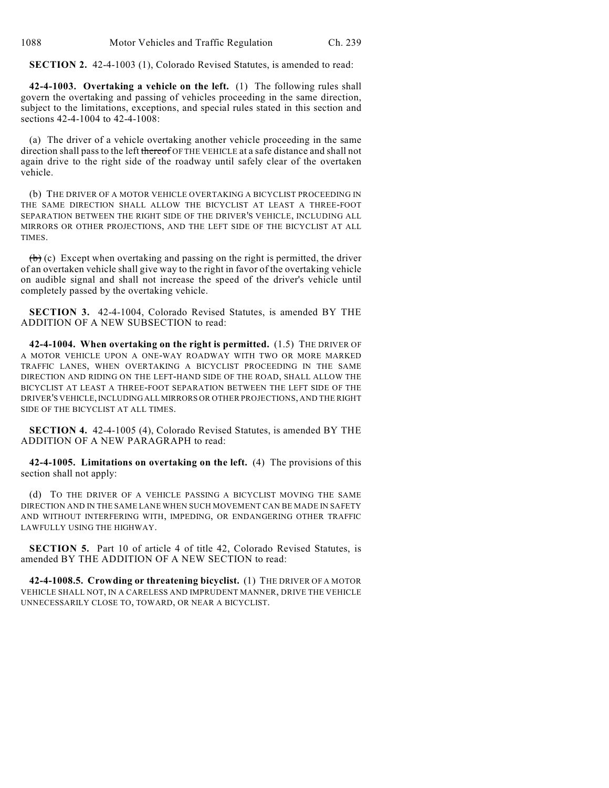**SECTION 2.** 42-4-1003 (1), Colorado Revised Statutes, is amended to read:

**42-4-1003. Overtaking a vehicle on the left.** (1) The following rules shall govern the overtaking and passing of vehicles proceeding in the same direction, subject to the limitations, exceptions, and special rules stated in this section and sections 42-4-1004 to 42-4-1008:

(a) The driver of a vehicle overtaking another vehicle proceeding in the same direction shall pass to the left thereof OF THE VEHICLE at a safe distance and shall not again drive to the right side of the roadway until safely clear of the overtaken vehicle.

(b) THE DRIVER OF A MOTOR VEHICLE OVERTAKING A BICYCLIST PROCEEDING IN THE SAME DIRECTION SHALL ALLOW THE BICYCLIST AT LEAST A THREE-FOOT SEPARATION BETWEEN THE RIGHT SIDE OF THE DRIVER'S VEHICLE, INCLUDING ALL MIRRORS OR OTHER PROJECTIONS, AND THE LEFT SIDE OF THE BICYCLIST AT ALL TIMES.

 $(b)$  (c) Except when overtaking and passing on the right is permitted, the driver of an overtaken vehicle shall give way to the right in favor of the overtaking vehicle on audible signal and shall not increase the speed of the driver's vehicle until completely passed by the overtaking vehicle.

**SECTION 3.** 42-4-1004, Colorado Revised Statutes, is amended BY THE ADDITION OF A NEW SUBSECTION to read:

**42-4-1004. When overtaking on the right is permitted.** (1.5) THE DRIVER OF A MOTOR VEHICLE UPON A ONE-WAY ROADWAY WITH TWO OR MORE MARKED TRAFFIC LANES, WHEN OVERTAKING A BICYCLIST PROCEEDING IN THE SAME DIRECTION AND RIDING ON THE LEFT-HAND SIDE OF THE ROAD, SHALL ALLOW THE BICYCLIST AT LEAST A THREE-FOOT SEPARATION BETWEEN THE LEFT SIDE OF THE DRIVER'S VEHICLE, INCLUDING ALL MIRRORS OR OTHER PROJECTIONS, AND THE RIGHT SIDE OF THE BICYCLIST AT ALL TIMES.

**SECTION 4.** 42-4-1005 (4), Colorado Revised Statutes, is amended BY THE ADDITION OF A NEW PARAGRAPH to read:

**42-4-1005. Limitations on overtaking on the left.** (4) The provisions of this section shall not apply:

(d) TO THE DRIVER OF A VEHICLE PASSING A BICYCLIST MOVING THE SAME DIRECTION AND IN THE SAME LANE WHEN SUCH MOVEMENT CAN BE MADE IN SAFETY AND WITHOUT INTERFERING WITH, IMPEDING, OR ENDANGERING OTHER TRAFFIC LAWFULLY USING THE HIGHWAY.

**SECTION 5.** Part 10 of article 4 of title 42, Colorado Revised Statutes, is amended BY THE ADDITION OF A NEW SECTION to read:

**42-4-1008.5. Crowding or threatening bicyclist.** (1) THE DRIVER OF A MOTOR VEHICLE SHALL NOT, IN A CARELESS AND IMPRUDENT MANNER, DRIVE THE VEHICLE UNNECESSARILY CLOSE TO, TOWARD, OR NEAR A BICYCLIST.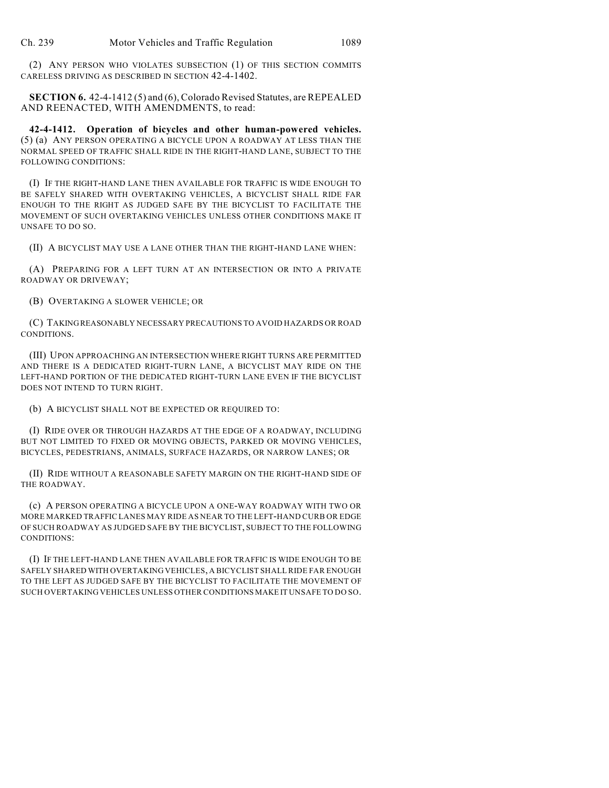Ch. 239 Motor Vehicles and Traffic Regulation 1089

(2) ANY PERSON WHO VIOLATES SUBSECTION (1) OF THIS SECTION COMMITS CARELESS DRIVING AS DESCRIBED IN SECTION 42-4-1402.

**SECTION 6.** 42-4-1412 (5) and (6), Colorado Revised Statutes, are REPEALED AND REENACTED, WITH AMENDMENTS, to read:

**42-4-1412. Operation of bicycles and other human-powered vehicles.** (5) (a) ANY PERSON OPERATING A BICYCLE UPON A ROADWAY AT LESS THAN THE NORMAL SPEED OF TRAFFIC SHALL RIDE IN THE RIGHT-HAND LANE, SUBJECT TO THE FOLLOWING CONDITIONS:

(I) IF THE RIGHT-HAND LANE THEN AVAILABLE FOR TRAFFIC IS WIDE ENOUGH TO BE SAFELY SHARED WITH OVERTAKING VEHICLES, A BICYCLIST SHALL RIDE FAR ENOUGH TO THE RIGHT AS JUDGED SAFE BY THE BICYCLIST TO FACILITATE THE MOVEMENT OF SUCH OVERTAKING VEHICLES UNLESS OTHER CONDITIONS MAKE IT UNSAFE TO DO SO.

(II) A BICYCLIST MAY USE A LANE OTHER THAN THE RIGHT-HAND LANE WHEN:

(A) PREPARING FOR A LEFT TURN AT AN INTERSECTION OR INTO A PRIVATE ROADWAY OR DRIVEWAY;

(B) OVERTAKING A SLOWER VEHICLE; OR

(C) TAKING REASONABLY NECESSARY PRECAUTIONS TO AVOID HAZARDS OR ROAD CONDITIONS.

(III) UPON APPROACHING AN INTERSECTION WHERE RIGHT TURNS ARE PERMITTED AND THERE IS A DEDICATED RIGHT-TURN LANE, A BICYCLIST MAY RIDE ON THE LEFT-HAND PORTION OF THE DEDICATED RIGHT-TURN LANE EVEN IF THE BICYCLIST DOES NOT INTEND TO TURN RIGHT.

(b) A BICYCLIST SHALL NOT BE EXPECTED OR REQUIRED TO:

(I) RIDE OVER OR THROUGH HAZARDS AT THE EDGE OF A ROADWAY, INCLUDING BUT NOT LIMITED TO FIXED OR MOVING OBJECTS, PARKED OR MOVING VEHICLES, BICYCLES, PEDESTRIANS, ANIMALS, SURFACE HAZARDS, OR NARROW LANES; OR

(II) RIDE WITHOUT A REASONABLE SAFETY MARGIN ON THE RIGHT-HAND SIDE OF THE ROADWAY.

(c) A PERSON OPERATING A BICYCLE UPON A ONE-WAY ROADWAY WITH TWO OR MORE MARKED TRAFFIC LANES MAY RIDE AS NEAR TO THE LEFT-HAND CURB OR EDGE OF SUCH ROADWAY AS JUDGED SAFE BY THE BICYCLIST, SUBJECT TO THE FOLLOWING CONDITIONS:

(I) IF THE LEFT-HAND LANE THEN AVAILABLE FOR TRAFFIC IS WIDE ENOUGH TO BE SAFELY SHARED WITH OVERTAKING VEHICLES, A BICYCLIST SHALL RIDE FAR ENOUGH TO THE LEFT AS JUDGED SAFE BY THE BICYCLIST TO FACILITATE THE MOVEMENT OF SUCH OVERTAKING VEHICLES UNLESS OTHER CONDITIONS MAKE IT UNSAFE TO DO SO.